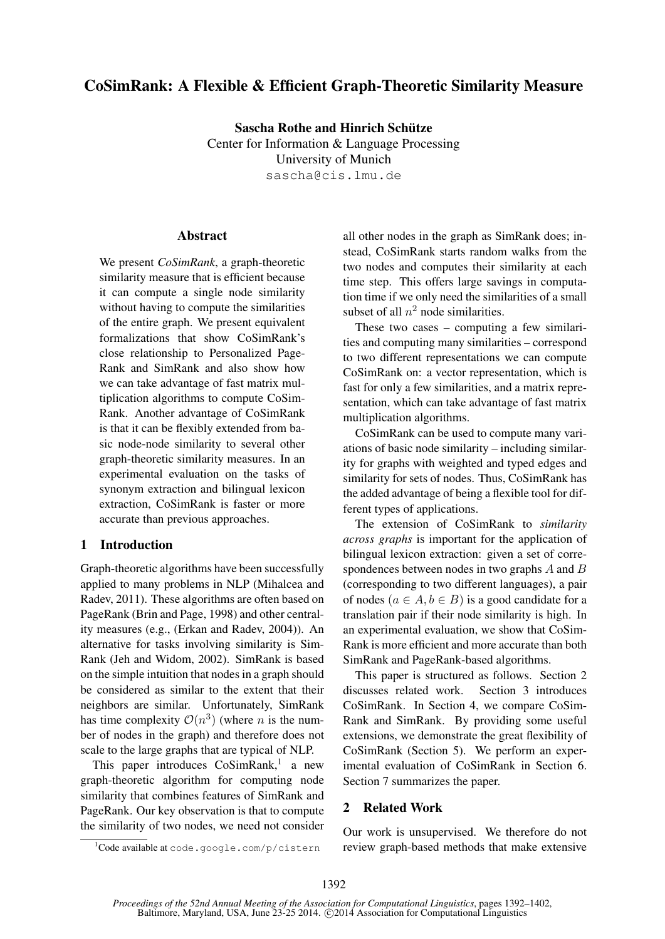# CoSimRank: A Flexible & Efficient Graph-Theoretic Similarity Measure

Sascha Rothe and Hinrich Schütze Center for Information & Language Processing University of Munich sascha@cis.lmu.de

# **Abstract**

We present *CoSimRank*, a graph-theoretic similarity measure that is efficient because it can compute a single node similarity without having to compute the similarities of the entire graph. We present equivalent formalizations that show CoSimRank's close relationship to Personalized Page-Rank and SimRank and also show how we can take advantage of fast matrix multiplication algorithms to compute CoSim-Rank. Another advantage of CoSimRank is that it can be flexibly extended from basic node-node similarity to several other graph-theoretic similarity measures. In an experimental evaluation on the tasks of synonym extraction and bilingual lexicon extraction, CoSimRank is faster or more accurate than previous approaches.

# 1 Introduction

Graph-theoretic algorithms have been successfully applied to many problems in NLP (Mihalcea and Radev, 2011). These algorithms are often based on PageRank (Brin and Page, 1998) and other centrality measures (e.g., (Erkan and Radev, 2004)). An alternative for tasks involving similarity is Sim-Rank (Jeh and Widom, 2002). SimRank is based on the simple intuition that nodes in a graph should be considered as similar to the extent that their neighbors are similar. Unfortunately, SimRank has time complexity  $\mathcal{O}(n^3)$  (where *n* is the number of nodes in the graph) and therefore does not scale to the large graphs that are typical of NLP.

This paper introduces CoSimRank,<sup>1</sup> a new graph-theoretic algorithm for computing node similarity that combines features of SimRank and PageRank. Our key observation is that to compute the similarity of two nodes, we need not consider

<sup>1</sup>Code available at code.google.com/p/cistern

all other nodes in the graph as SimRank does; instead, CoSimRank starts random walks from the two nodes and computes their similarity at each time step. This offers large savings in computation time if we only need the similarities of a small subset of all  $n^2$  node similarities.

These two cases – computing a few similarities and computing many similarities – correspond to two different representations we can compute CoSimRank on: a vector representation, which is fast for only a few similarities, and a matrix representation, which can take advantage of fast matrix multiplication algorithms.

CoSimRank can be used to compute many variations of basic node similarity – including similarity for graphs with weighted and typed edges and similarity for sets of nodes. Thus, CoSimRank has the added advantage of being a flexible tool for different types of applications.

The extension of CoSimRank to *similarity across graphs* is important for the application of bilingual lexicon extraction: given a set of correspondences between nodes in two graphs A and B (corresponding to two different languages), a pair of nodes  $(a \in A, b \in B)$  is a good candidate for a translation pair if their node similarity is high. In an experimental evaluation, we show that CoSim-Rank is more efficient and more accurate than both SimRank and PageRank-based algorithms.

This paper is structured as follows. Section 2 discusses related work. Section 3 introduces CoSimRank. In Section 4, we compare CoSim-Rank and SimRank. By providing some useful extensions, we demonstrate the great flexibility of CoSimRank (Section 5). We perform an experimental evaluation of CoSimRank in Section 6. Section 7 summarizes the paper.

# 2 Related Work

Our work is unsupervised. We therefore do not review graph-based methods that make extensive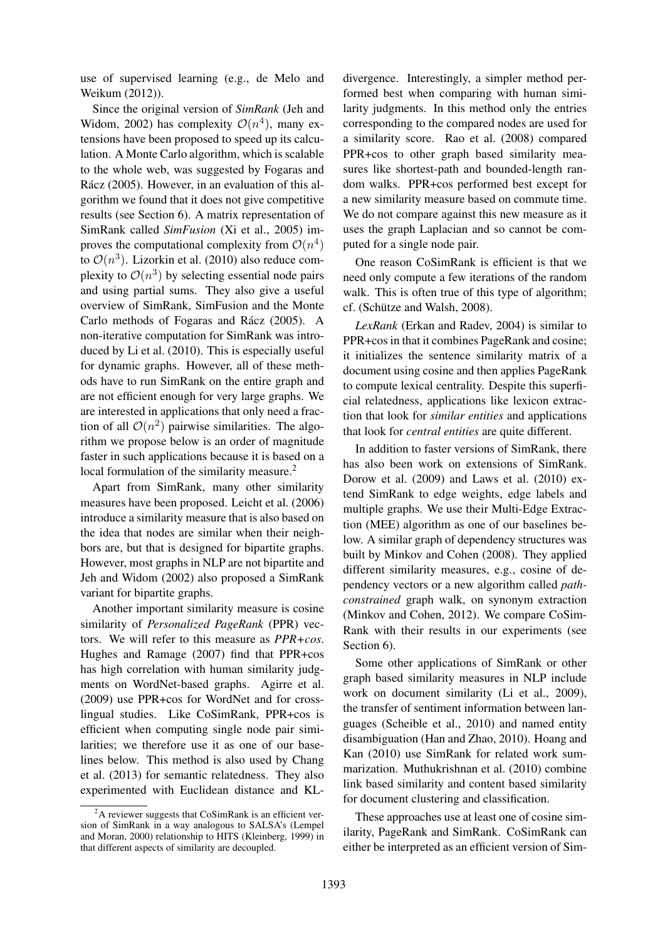use of supervised learning (e.g., de Melo and Weikum (2012)).

Since the original version of *SimRank* (Jeh and Widom, 2002) has complexity  $\mathcal{O}(n^4)$ , many extensions have been proposed to speed up its calculation. A Monte Carlo algorithm, which is scalable to the whole web, was suggested by Fogaras and Rácz (2005). However, in an evaluation of this algorithm we found that it does not give competitive results (see Section 6). A matrix representation of SimRank called *SimFusion* (Xi et al., 2005) improves the computational complexity from  $\mathcal{O}(n^4)$ to  $\mathcal{O}(n^3)$ . Lizorkin et al. (2010) also reduce complexity to  $\mathcal{O}(n^3)$  by selecting essential node pairs and using partial sums. They also give a useful overview of SimRank, SimFusion and the Monte Carlo methods of Fogaras and Rácz (2005). A non-iterative computation for SimRank was introduced by Li et al. (2010). This is especially useful for dynamic graphs. However, all of these methods have to run SimRank on the entire graph and are not efficient enough for very large graphs. We are interested in applications that only need a fraction of all  $\mathcal{O}(n^2)$  pairwise similarities. The algorithm we propose below is an order of magnitude faster in such applications because it is based on a local formulation of the similarity measure.<sup>2</sup>

Apart from SimRank, many other similarity measures have been proposed. Leicht et al. (2006) introduce a similarity measure that is also based on the idea that nodes are similar when their neighbors are, but that is designed for bipartite graphs. However, most graphs in NLP are not bipartite and Jeh and Widom (2002) also proposed a SimRank variant for bipartite graphs.

Another important similarity measure is cosine similarity of *Personalized PageRank* (PPR) vectors. We will refer to this measure as *PPR+cos*. Hughes and Ramage (2007) find that PPR+cos has high correlation with human similarity judgments on WordNet-based graphs. Agirre et al. (2009) use PPR+cos for WordNet and for crosslingual studies. Like CoSimRank, PPR+cos is efficient when computing single node pair similarities; we therefore use it as one of our baselines below. This method is also used by Chang et al. (2013) for semantic relatedness. They also experimented with Euclidean distance and KL-

divergence. Interestingly, a simpler method performed best when comparing with human similarity judgments. In this method only the entries corresponding to the compared nodes are used for a similarity score. Rao et al. (2008) compared PPR+cos to other graph based similarity measures like shortest-path and bounded-length random walks. PPR+cos performed best except for a new similarity measure based on commute time. We do not compare against this new measure as it uses the graph Laplacian and so cannot be computed for a single node pair.

One reason CoSimRank is efficient is that we need only compute a few iterations of the random walk. This is often true of this type of algorithm; cf. (Schütze and Walsh, 2008).

*LexRank* (Erkan and Radev, 2004) is similar to PPR+cos in that it combines PageRank and cosine; it initializes the sentence similarity matrix of a document using cosine and then applies PageRank to compute lexical centrality. Despite this superficial relatedness, applications like lexicon extraction that look for *similar entities* and applications that look for *central entities* are quite different.

In addition to faster versions of SimRank, there has also been work on extensions of SimRank. Dorow et al. (2009) and Laws et al. (2010) extend SimRank to edge weights, edge labels and multiple graphs. We use their Multi-Edge Extraction (MEE) algorithm as one of our baselines below. A similar graph of dependency structures was built by Minkov and Cohen (2008). They applied different similarity measures, e.g., cosine of dependency vectors or a new algorithm called *pathconstrained* graph walk, on synonym extraction (Minkov and Cohen, 2012). We compare CoSim-Rank with their results in our experiments (see Section 6).

Some other applications of SimRank or other graph based similarity measures in NLP include work on document similarity (Li et al., 2009), the transfer of sentiment information between languages (Scheible et al., 2010) and named entity disambiguation (Han and Zhao, 2010). Hoang and Kan (2010) use SimRank for related work summarization. Muthukrishnan et al. (2010) combine link based similarity and content based similarity for document clustering and classification.

These approaches use at least one of cosine similarity, PageRank and SimRank. CoSimRank can either be interpreted as an efficient version of Sim-

 $2A$  reviewer suggests that CoSimRank is an efficient version of SimRank in a way analogous to SALSA's (Lempel and Moran, 2000) relationship to HITS (Kleinberg, 1999) in that different aspects of similarity are decoupled.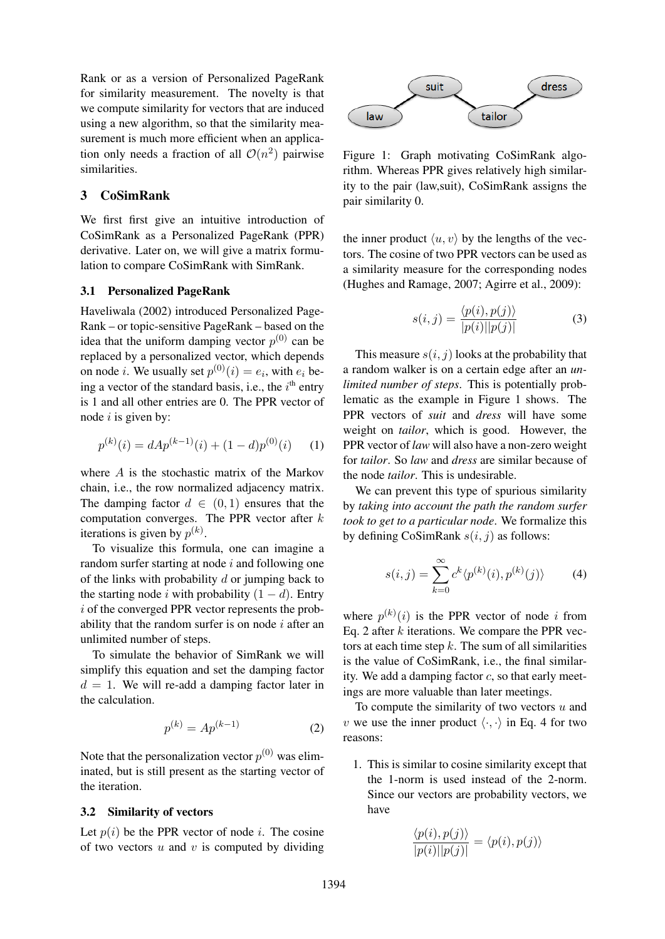Rank or as a version of Personalized PageRank for similarity measurement. The novelty is that we compute similarity for vectors that are induced using a new algorithm, so that the similarity measurement is much more efficient when an application only needs a fraction of all  $\mathcal{O}(n^2)$  pairwise similarities.

# 3 CoSimRank

We first first give an intuitive introduction of CoSimRank as a Personalized PageRank (PPR) derivative. Later on, we will give a matrix formulation to compare CoSimRank with SimRank.

# 3.1 Personalized PageRank

Haveliwala (2002) introduced Personalized Page-Rank – or topic-sensitive PageRank – based on the idea that the uniform damping vector  $p^{(0)}$  can be replaced by a personalized vector, which depends on node *i*. We usually set  $p^{(0)}(i) = e_i$ , with  $e_i$  being a vector of the standard basis, i.e., the  $i<sup>th</sup>$  entry is 1 and all other entries are 0. The PPR vector of node  $i$  is given by:

$$
p^{(k)}(i) = dA p^{(k-1)}(i) + (1-d) p^{(0)}(i) \qquad (1)
$$

where A is the stochastic matrix of the Markov chain, i.e., the row normalized adjacency matrix. The damping factor  $d \in (0, 1)$  ensures that the computation converges. The PPR vector after  $k$ iterations is given by  $p^{(k)}$ .

To visualize this formula, one can imagine a random surfer starting at node i and following one of the links with probability  $d$  or jumping back to the starting node i with probability  $(1 - d)$ . Entry i of the converged PPR vector represents the probability that the random surfer is on node  $i$  after an unlimited number of steps.

To simulate the behavior of SimRank we will simplify this equation and set the damping factor  $d = 1$ . We will re-add a damping factor later in the calculation.

$$
p^{(k)} = Ap^{(k-1)} \tag{2}
$$

Note that the personalization vector  $p^{(0)}$  was eliminated, but is still present as the starting vector of the iteration.

# 3.2 Similarity of vectors

Let  $p(i)$  be the PPR vector of node *i*. The cosine of two vectors  $u$  and  $v$  is computed by dividing



Figure 1: Graph motivating CoSimRank algorithm. Whereas PPR gives relatively high similarity to the pair (law,suit), CoSimRank assigns the pair similarity 0.

the inner product  $\langle u, v \rangle$  by the lengths of the vectors. The cosine of two PPR vectors can be used as a similarity measure for the corresponding nodes (Hughes and Ramage, 2007; Agirre et al., 2009):

$$
s(i,j) = \frac{\langle p(i), p(j) \rangle}{|p(i)||p(j)|}
$$
(3)

This measure  $s(i, j)$  looks at the probability that a random walker is on a certain edge after an *unlimited number of steps*. This is potentially problematic as the example in Figure 1 shows. The PPR vectors of *suit* and *dress* will have some weight on *tailor*, which is good. However, the PPR vector of *law* will also have a non-zero weight for *tailor*. So *law* and *dress* are similar because of the node *tailor*. This is undesirable.

We can prevent this type of spurious similarity by *taking into account the path the random surfer took to get to a particular node*. We formalize this by defining CoSimRank  $s(i, j)$  as follows:

$$
s(i,j) = \sum_{k=0}^{\infty} c^k \langle p^{(k)}(i), p^{(k)}(j) \rangle \tag{4}
$$

where  $p^{(k)}(i)$  is the PPR vector of node i from Eq. 2 after  $k$  iterations. We compare the PPR vectors at each time step  $k$ . The sum of all similarities is the value of CoSimRank, i.e., the final similarity. We add a damping factor  $c$ , so that early meetings are more valuable than later meetings.

To compute the similarity of two vectors  $u$  and v we use the inner product  $\langle \cdot, \cdot \rangle$  in Eq. 4 for two reasons:

1. This is similar to cosine similarity except that the 1-norm is used instead of the 2-norm. Since our vectors are probability vectors, we have

$$
\frac{\langle p(i), p(j) \rangle}{|p(i)||p(j)|} = \langle p(i), p(j) \rangle
$$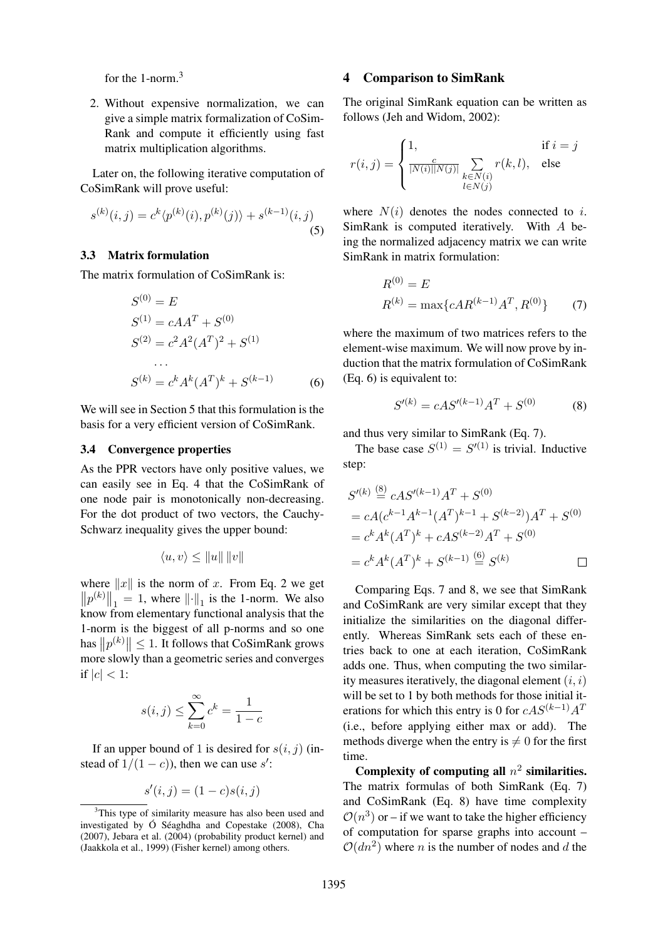for the 1-norm.<sup>3</sup>

2. Without expensive normalization, we can give a simple matrix formalization of CoSim-Rank and compute it efficiently using fast matrix multiplication algorithms.

Later on, the following iterative computation of CoSimRank will prove useful:

$$
s^{(k)}(i,j) = c^k \langle p^{(k)}(i), p^{(k)}(j) \rangle + s^{(k-1)}(i,j)
$$
\n(5)

# 3.3 Matrix formulation

The matrix formulation of CoSimRank is:

$$
S^{(0)} = E
$$
  
\n
$$
S^{(1)} = cAA^{T} + S^{(0)}
$$
  
\n
$$
S^{(2)} = c^{2}A^{2}(A^{T})^{2} + S^{(1)}
$$
  
\n...  
\n
$$
S^{(k)} = c^{k}A^{k}(A^{T})^{k} + S^{(k-1)}
$$
 (6)

We will see in Section 5 that this formulation is the basis for a very efficient version of CoSimRank.

#### 3.4 Convergence properties

As the PPR vectors have only positive values, we can easily see in Eq. 4 that the CoSimRank of one node pair is monotonically non-decreasing. For the dot product of two vectors, the Cauchy-Schwarz inequality gives the upper bound:

$$
\langle u, v \rangle \le ||u|| \, ||v||
$$

where  $||x||$  is the norm of x. From Eq. 2 we get  $||p^{(k)}||_1 = 1$ , where  $|| \cdot ||_1$  is the 1-norm. We also know from elementary functional analysis that the 1-norm is the biggest of all p-norms and so one has  $||p^{(k)}|| \leq 1$ . It follows that CoSimRank grows more slowly than a geometric series and converges if  $|c| < 1$ :

$$
s(i,j) \le \sum_{k=0}^{\infty} c^k = \frac{1}{1-c}
$$

If an upper bound of 1 is desired for  $s(i, j)$  (instead of  $1/(1-c)$ , then we can use s':

$$
s'(i,j) = (1-c)s(i,j)
$$

#### 4 Comparison to SimRank

The original SimRank equation can be written as follows (Jeh and Widom, 2002):

$$
r(i,j) = \begin{cases} 1, & \text{if } i = j \\ \frac{c}{|N(i)||N(j)|} \sum_{\substack{k \in N(i) \\ l \in N(j)}} r(k,l), & \text{else} \end{cases}
$$

where  $N(i)$  denotes the nodes connected to i. SimRank is computed iteratively. With A being the normalized adjacency matrix we can write SimRank in matrix formulation:

$$
R^{(0)} = E
$$
  

$$
R^{(k)} = \max\{cAR^{(k-1)}A^T, R^{(0)}\}
$$
 (7)

where the maximum of two matrices refers to the element-wise maximum. We will now prove by induction that the matrix formulation of CoSimRank (Eq. 6) is equivalent to:

$$
S'^{(k)} = cAS'^{(k-1)}A^T + S^{(0)} \tag{8}
$$

and thus very similar to SimRank (Eq. 7).

The base case  $S^{(1)} = S'^{(1)}$  is trivial. Inductive step:

$$
S'^{(k)} \stackrel{\text{(8)}}{=} cAS'^{(k-1)}A^T + S^{(0)}
$$
  
=  $cA(c^{k-1}A^{k-1}(A^T)^{k-1} + S^{(k-2)})A^T + S^{(0)}$   
=  $c^k A^k (A^T)^k + cAS^{(k-2)}A^T + S^{(0)}$   
=  $c^k A^k (A^T)^k + S^{(k-1)} \stackrel{\text{(6)}}{=} S^{(k)}$ 

Comparing Eqs. 7 and 8, we see that SimRank and CoSimRank are very similar except that they initialize the similarities on the diagonal differently. Whereas SimRank sets each of these entries back to one at each iteration, CoSimRank adds one. Thus, when computing the two similarity measures iteratively, the diagonal element  $(i, i)$ will be set to 1 by both methods for those initial iterations for which this entry is 0 for  $cAS^{(k-1)}A^T$ (i.e., before applying either max or add). The methods diverge when the entry is  $\neq 0$  for the first time.

Complexity of computing all  $n^2$  similarities. The matrix formulas of both SimRank (Eq. 7) and CoSimRank (Eq. 8) have time complexity  $\mathcal{O}(n^3)$  or – if we want to take the higher efficiency of computation for sparse graphs into account –  $O(dn^2)$  where *n* is the number of nodes and *d* the

<sup>&</sup>lt;sup>3</sup>This type of similarity measure has also been used and investigated by  $\acute{O}$  Séaghdha and Copestake (2008), Cha (2007), Jebara et al. (2004) (probability product kernel) and (Jaakkola et al., 1999) (Fisher kernel) among others.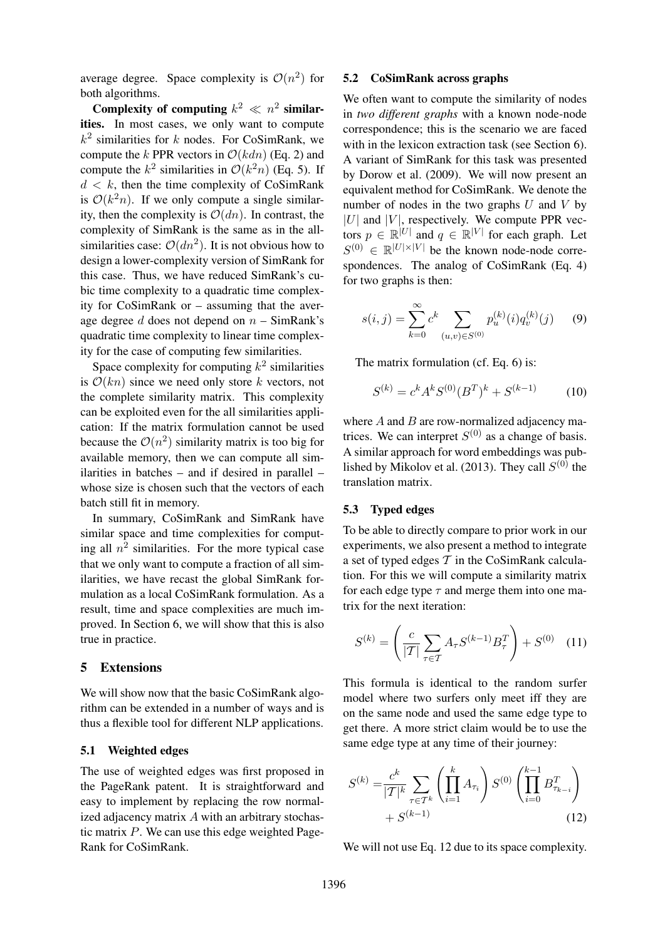average degree. Space complexity is  $\mathcal{O}(n^2)$  for both algorithms.

Complexity of computing  $k^2 \ll n^2$  similarities. In most cases, we only want to compute  $k^2$  similarities for k nodes. For CoSimRank, we compute the k PPR vectors in  $\mathcal{O}(kdn)$  (Eq. 2) and compute the  $k^2$  similarities in  $\mathcal{O}(k^2n)$  (Eq. 5). If  $d < k$ , then the time complexity of CoSimRank is  $\mathcal{O}(k^2n)$ . If we only compute a single similarity, then the complexity is  $\mathcal{O}(dn)$ . In contrast, the complexity of SimRank is the same as in the allsimilarities case:  $\mathcal{O}(dn^2)$ . It is not obvious how to design a lower-complexity version of SimRank for this case. Thus, we have reduced SimRank's cubic time complexity to a quadratic time complexity for CoSimRank or – assuming that the average degree  $d$  does not depend on  $n - \text{SimRank's}$ quadratic time complexity to linear time complexity for the case of computing few similarities.

Space complexity for computing  $k^2$  similarities is  $\mathcal{O}(kn)$  since we need only store k vectors, not the complete similarity matrix. This complexity can be exploited even for the all similarities application: If the matrix formulation cannot be used because the  $\mathcal{O}(n^2)$  similarity matrix is too big for available memory, then we can compute all similarities in batches – and if desired in parallel – whose size is chosen such that the vectors of each batch still fit in memory.

In summary, CoSimRank and SimRank have similar space and time complexities for computing all  $n^2$  similarities. For the more typical case that we only want to compute a fraction of all similarities, we have recast the global SimRank formulation as a local CoSimRank formulation. As a result, time and space complexities are much improved. In Section 6, we will show that this is also true in practice.

# 5 Extensions

We will show now that the basic CoSimRank algorithm can be extended in a number of ways and is thus a flexible tool for different NLP applications.

#### 5.1 Weighted edges

The use of weighted edges was first proposed in the PageRank patent. It is straightforward and easy to implement by replacing the row normalized adjacency matrix  $A$  with an arbitrary stochastic matrix P. We can use this edge weighted Page-Rank for CoSimRank.

## 5.2 CoSimRank across graphs

We often want to compute the similarity of nodes in *two different graphs* with a known node-node correspondence; this is the scenario we are faced with in the lexicon extraction task (see Section 6). A variant of SimRank for this task was presented by Dorow et al. (2009). We will now present an equivalent method for CoSimRank. We denote the number of nodes in the two graphs  $U$  and  $V$  by  $|U|$  and  $|V|$ , respectively. We compute PPR vectors  $p \in \mathbb{R}^{|U|}$  and  $q \in \mathbb{R}^{|V|}$  for each graph. Let  $S^{(0)} \in \mathbb{R}^{|U| \times |V|}$  be the known node-node correspondences. The analog of CoSimRank (Eq. 4) for two graphs is then:

$$
s(i,j) = \sum_{k=0}^{\infty} c^k \sum_{(u,v) \in S^{(0)}} p_u^{(k)}(i) q_v^{(k)}(j) \qquad (9)
$$

The matrix formulation (cf. Eq. 6) is:

$$
S^{(k)} = c^k A^k S^{(0)} (B^T)^k + S^{(k-1)} \tag{10}
$$

where  $A$  and  $B$  are row-normalized adjacency matrices. We can interpret  $S^{(0)}$  as a change of basis. A similar approach for word embeddings was published by Mikolov et al. (2013). They call  $S^{(0)}$  the translation matrix.

#### 5.3 Typed edges

To be able to directly compare to prior work in our experiments, we also present a method to integrate a set of typed edges  $T$  in the CoSimRank calculation. For this we will compute a similarity matrix for each edge type  $\tau$  and merge them into one matrix for the next iteration:

$$
S^{(k)} = \left(\frac{c}{|T|} \sum_{\tau \in T} A_{\tau} S^{(k-1)} B_{\tau}^{T}\right) + S^{(0)} \quad (11)
$$

This formula is identical to the random surfer model where two surfers only meet iff they are on the same node and used the same edge type to get there. A more strict claim would be to use the same edge type at any time of their journey:

$$
S^{(k)} = \frac{c^k}{|T|^k} \sum_{\tau \in T^k} \left( \prod_{i=1}^k A_{\tau_i} \right) S^{(0)} \left( \prod_{i=0}^{k-1} B_{\tau_{k-i}}^T \right) + S^{(k-1)} \tag{12}
$$

We will not use Eq. 12 due to its space complexity.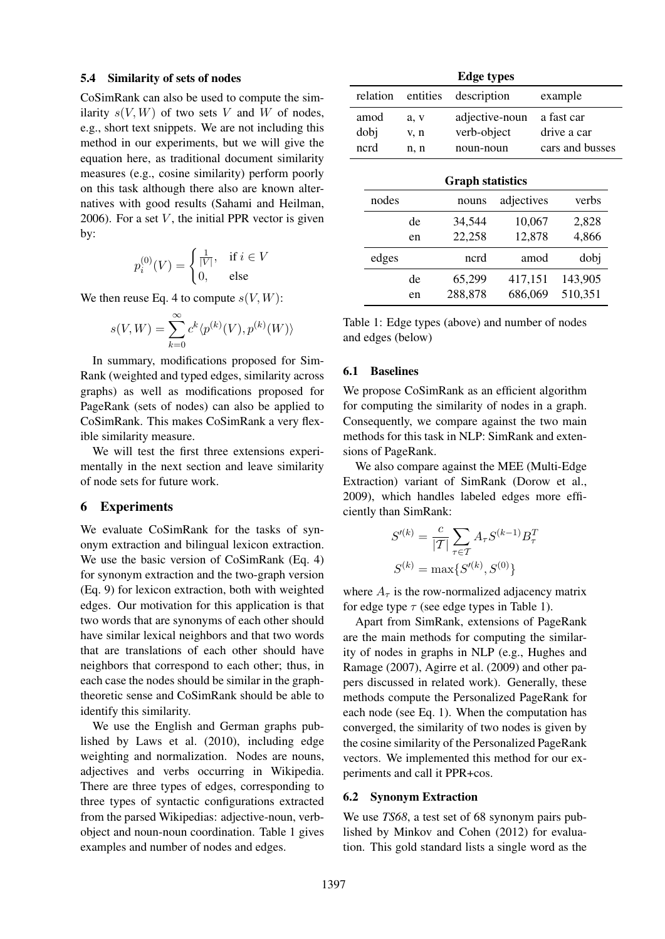#### 5.4 Similarity of sets of nodes

CoSimRank can also be used to compute the similarity  $s(V, W)$  of two sets V and W of nodes, e.g., short text snippets. We are not including this method in our experiments, but we will give the equation here, as traditional document similarity measures (e.g., cosine similarity) perform poorly on this task although there also are known alternatives with good results (Sahami and Heilman, 2006). For a set  $V$ , the initial PPR vector is given by:

$$
p_i^{(0)}(V) = \begin{cases} \frac{1}{|V|}, & \text{if } i \in V \\ 0, & \text{else} \end{cases}
$$

We then reuse Eq. 4 to compute  $s(V, W)$ :

$$
s(V, W) = \sum_{k=0}^{\infty} c^k \langle p^{(k)}(V), p^{(k)}(W) \rangle
$$

In summary, modifications proposed for Sim-Rank (weighted and typed edges, similarity across graphs) as well as modifications proposed for PageRank (sets of nodes) can also be applied to CoSimRank. This makes CoSimRank a very flexible similarity measure.

We will test the first three extensions experimentally in the next section and leave similarity of node sets for future work.

## 6 Experiments

We evaluate CoSimRank for the tasks of synonym extraction and bilingual lexicon extraction. We use the basic version of CoSimRank (Eq. 4) for synonym extraction and the two-graph version (Eq. 9) for lexicon extraction, both with weighted edges. Our motivation for this application is that two words that are synonyms of each other should have similar lexical neighbors and that two words that are translations of each other should have neighbors that correspond to each other; thus, in each case the nodes should be similar in the graphtheoretic sense and CoSimRank should be able to identify this similarity.

We use the English and German graphs published by Laws et al. (2010), including edge weighting and normalization. Nodes are nouns, adjectives and verbs occurring in Wikipedia. There are three types of edges, corresponding to three types of syntactic configurations extracted from the parsed Wikipedias: adjective-noun, verbobject and noun-noun coordination. Table 1 gives examples and number of nodes and edges.

| <b>Edge types</b>       |          |          |                |            |             |                 |
|-------------------------|----------|----------|----------------|------------|-------------|-----------------|
|                         | relation | entities | description    |            | example     |                 |
|                         | amod     | a, v     | adjective-noun |            |             | a fast car      |
| dobj                    |          | v, n     | verb-object    |            | drive a car |                 |
|                         | ncrd     | n, n     | noun-noun      |            |             | cars and busses |
| <b>Graph statistics</b> |          |          |                |            |             |                 |
|                         | nodes    |          | nouns          | adjectives |             | verbs           |
|                         |          | de       | 34,544         | 10,067     |             | 2,828           |
|                         |          | en       | 22,258         | 12,878     |             | 4,866           |
|                         | edges    |          | ncrd           | amod       |             | dobj            |
|                         |          | de       | 65,299         | 417,151    |             | 143,905         |
|                         |          | en       | 288,878        | 686,069    |             | 510,351         |

Table 1: Edge types (above) and number of nodes and edges (below)

# 6.1 Baselines

We propose CoSimRank as an efficient algorithm for computing the similarity of nodes in a graph. Consequently, we compare against the two main methods for this task in NLP: SimRank and extensions of PageRank.

We also compare against the MEE (Multi-Edge Extraction) variant of SimRank (Dorow et al., 2009), which handles labeled edges more efficiently than SimRank:

$$
S'^{(k)} = \frac{c}{|T|} \sum_{\tau \in T} A_{\tau} S^{(k-1)} B_{\tau}^{T}
$$

$$
S^{(k)} = \max\{S'^{(k)}, S^{(0)}\}
$$

where  $A_{\tau}$  is the row-normalized adjacency matrix for edge type  $\tau$  (see edge types in Table 1).

Apart from SimRank, extensions of PageRank are the main methods for computing the similarity of nodes in graphs in NLP (e.g., Hughes and Ramage (2007), Agirre et al. (2009) and other papers discussed in related work). Generally, these methods compute the Personalized PageRank for each node (see Eq. 1). When the computation has converged, the similarity of two nodes is given by the cosine similarity of the Personalized PageRank vectors. We implemented this method for our experiments and call it PPR+cos.

#### 6.2 Synonym Extraction

We use *TS68*, a test set of 68 synonym pairs published by Minkov and Cohen (2012) for evaluation. This gold standard lists a single word as the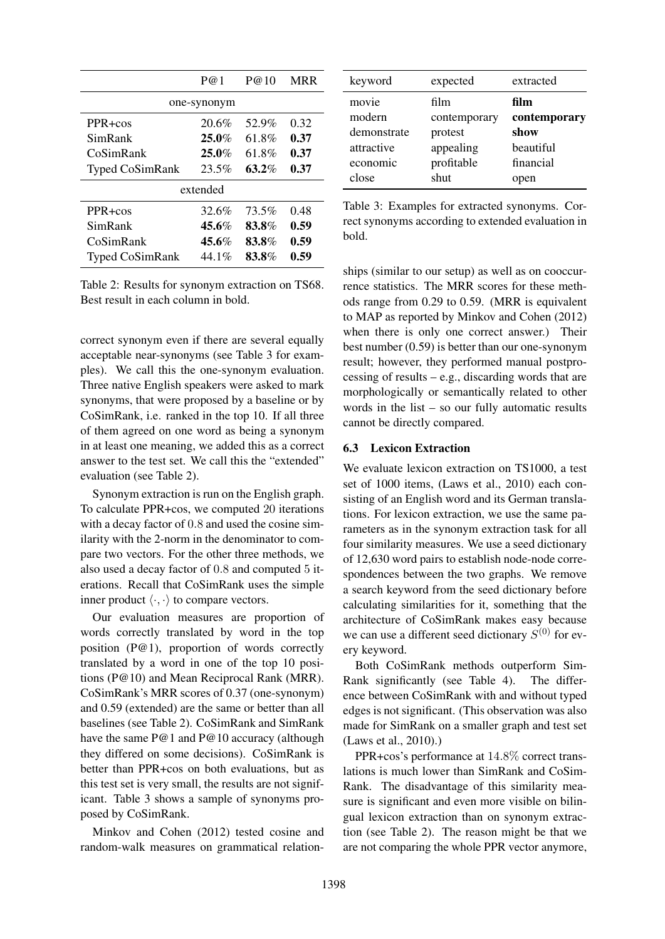|                        | P@1      | P@10  | <b>MRR</b> |  |
|------------------------|----------|-------|------------|--|
| one-synonym            |          |       |            |  |
| $PPR + cos$            | 20.6%    | 52.9% | 0.32       |  |
| SimRank                | $25.0\%$ | 61.8% | 0.37       |  |
| CoSimRank              | $25.0\%$ | 61.8% | 0.37       |  |
| <b>Typed CoSimRank</b> | 23.5%    | 63.2% | 0.37       |  |
| extended               |          |       |            |  |
| $PPR + cos$            | 32.6%    | 73.5% | 0.48       |  |
| SimRank                | $45.6\%$ | 83.8% | 0.59       |  |
| CoSimRank              | $45.6\%$ | 83.8% | 0.59       |  |
| <b>Typed CoSimRank</b> | 44.1%    | 83.8% | 0.59       |  |

Table 2: Results for synonym extraction on TS68. Best result in each column in bold.

correct synonym even if there are several equally acceptable near-synonyms (see Table 3 for examples). We call this the one-synonym evaluation. Three native English speakers were asked to mark synonyms, that were proposed by a baseline or by CoSimRank, i.e. ranked in the top 10. If all three of them agreed on one word as being a synonym in at least one meaning, we added this as a correct answer to the test set. We call this the "extended" evaluation (see Table 2).

Synonym extraction is run on the English graph. To calculate PPR+cos, we computed 20 iterations with a decay factor of 0.8 and used the cosine similarity with the 2-norm in the denominator to compare two vectors. For the other three methods, we also used a decay factor of 0.8 and computed 5 iterations. Recall that CoSimRank uses the simple inner product  $\langle \cdot, \cdot \rangle$  to compare vectors.

Our evaluation measures are proportion of words correctly translated by word in the top position (P@1), proportion of words correctly translated by a word in one of the top 10 positions (P@10) and Mean Reciprocal Rank (MRR). CoSimRank's MRR scores of 0.37 (one-synonym) and 0.59 (extended) are the same or better than all baselines (see Table 2). CoSimRank and SimRank have the same P@1 and P@10 accuracy (although they differed on some decisions). CoSimRank is better than PPR+cos on both evaluations, but as this test set is very small, the results are not significant. Table 3 shows a sample of synonyms proposed by CoSimRank.

Minkov and Cohen (2012) tested cosine and random-walk measures on grammatical relation-

| keyword     | expected     | extracted    |
|-------------|--------------|--------------|
| movie       | film         | film         |
| modern      | contemporary | contemporary |
| demonstrate | protest      | show         |
| attractive  | appealing    | beautiful    |
| economic    | profitable   | financial    |
| close       | shut         | open         |

Table 3: Examples for extracted synonyms. Correct synonyms according to extended evaluation in bold.

ships (similar to our setup) as well as on cooccurrence statistics. The MRR scores for these methods range from 0.29 to 0.59. (MRR is equivalent to MAP as reported by Minkov and Cohen (2012) when there is only one correct answer.) Their best number (0.59) is better than our one-synonym result; however, they performed manual postprocessing of results  $-e.g.,$  discarding words that are morphologically or semantically related to other words in the list – so our fully automatic results cannot be directly compared.

# 6.3 Lexicon Extraction

We evaluate lexicon extraction on TS1000, a test set of 1000 items, (Laws et al., 2010) each consisting of an English word and its German translations. For lexicon extraction, we use the same parameters as in the synonym extraction task for all four similarity measures. We use a seed dictionary of 12,630 word pairs to establish node-node correspondences between the two graphs. We remove a search keyword from the seed dictionary before calculating similarities for it, something that the architecture of CoSimRank makes easy because we can use a different seed dictionary  $S^{(0)}$  for every keyword.

Both CoSimRank methods outperform Sim-Rank significantly (see Table 4). The difference between CoSimRank with and without typed edges is not significant. (This observation was also made for SimRank on a smaller graph and test set (Laws et al., 2010).)

PPR+cos's performance at 14.8% correct translations is much lower than SimRank and CoSim-Rank. The disadvantage of this similarity measure is significant and even more visible on bilingual lexicon extraction than on synonym extraction (see Table 2). The reason might be that we are not comparing the whole PPR vector anymore,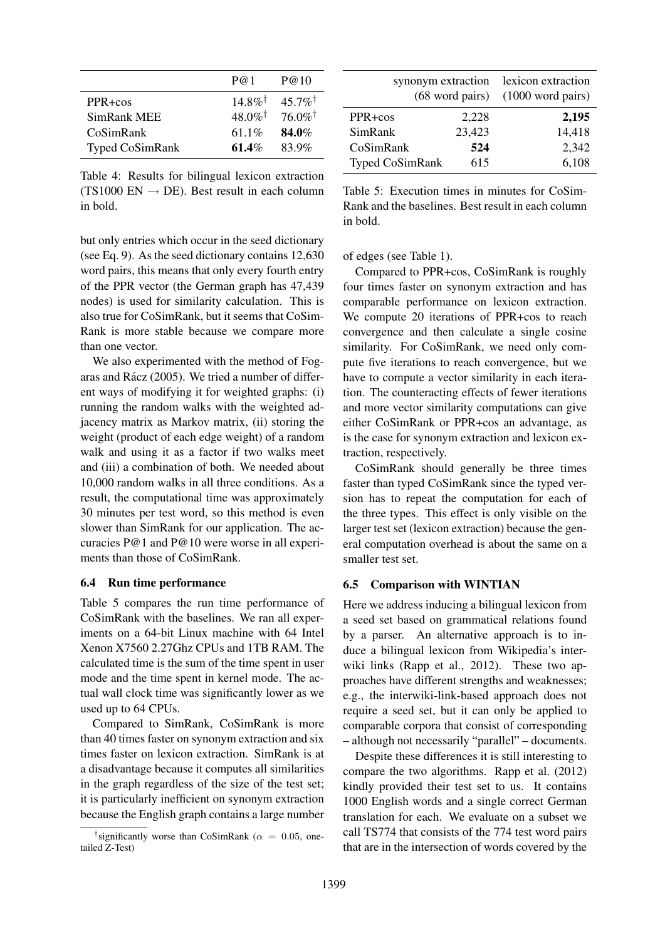|                        | P@1                   | P@10                  |
|------------------------|-----------------------|-----------------------|
| PPR+cos                | $14.8\%$ <sup>†</sup> | $45.7\%$ <sup>†</sup> |
| SimRank MEE            | $48.0\%$ <sup>†</sup> | $76.0\%$ <sup>†</sup> |
| CoSimRank              | 61.1\%                | 84.0%                 |
| <b>Typed CoSimRank</b> | $61.4\%$              | 83.9%                 |

Table 4: Results for bilingual lexicon extraction (TS1000 EN  $\rightarrow$  DE). Best result in each column in bold.

but only entries which occur in the seed dictionary (see Eq. 9). As the seed dictionary contains 12,630 word pairs, this means that only every fourth entry of the PPR vector (the German graph has 47,439 nodes) is used for similarity calculation. This is also true for CoSimRank, but it seems that CoSim-Rank is more stable because we compare more than one vector.

We also experimented with the method of Fogaras and Rácz (2005). We tried a number of different ways of modifying it for weighted graphs: (i) running the random walks with the weighted adjacency matrix as Markov matrix, (ii) storing the weight (product of each edge weight) of a random walk and using it as a factor if two walks meet and (iii) a combination of both. We needed about 10,000 random walks in all three conditions. As a result, the computational time was approximately 30 minutes per test word, so this method is even slower than SimRank for our application. The accuracies P@1 and P@10 were worse in all experiments than those of CoSimRank.

## 6.4 Run time performance

Table 5 compares the run time performance of CoSimRank with the baselines. We ran all experiments on a 64-bit Linux machine with 64 Intel Xenon X7560 2.27Ghz CPUs and 1TB RAM. The calculated time is the sum of the time spent in user mode and the time spent in kernel mode. The actual wall clock time was significantly lower as we used up to 64 CPUs.

Compared to SimRank, CoSimRank is more than 40 times faster on synonym extraction and six times faster on lexicon extraction. SimRank is at a disadvantage because it computes all similarities in the graph regardless of the size of the test set; it is particularly inefficient on synonym extraction because the English graph contains a large number

| synonym extraction     | lexicon extraction<br>$(68 \text{ word pairs})$ $(1000 \text{ word pairs})$ |        |
|------------------------|-----------------------------------------------------------------------------|--------|
| PPR+cos                | 2,228                                                                       | 2,195  |
| SimRank                | 23,423                                                                      | 14,418 |
| CoSimRank              | 524                                                                         | 2,342  |
| <b>Typed CoSimRank</b> | 615                                                                         | 6,108  |

Table 5: Execution times in minutes for CoSim-Rank and the baselines. Best result in each column in bold.

of edges (see Table 1).

Compared to PPR+cos, CoSimRank is roughly four times faster on synonym extraction and has comparable performance on lexicon extraction. We compute 20 iterations of PPR+cos to reach convergence and then calculate a single cosine similarity. For CoSimRank, we need only compute five iterations to reach convergence, but we have to compute a vector similarity in each iteration. The counteracting effects of fewer iterations and more vector similarity computations can give either CoSimRank or PPR+cos an advantage, as is the case for synonym extraction and lexicon extraction, respectively.

CoSimRank should generally be three times faster than typed CoSimRank since the typed version has to repeat the computation for each of the three types. This effect is only visible on the larger test set (lexicon extraction) because the general computation overhead is about the same on a smaller test set.

# 6.5 Comparison with WINTIAN

Here we address inducing a bilingual lexicon from a seed set based on grammatical relations found by a parser. An alternative approach is to induce a bilingual lexicon from Wikipedia's interwiki links (Rapp et al., 2012). These two approaches have different strengths and weaknesses; e.g., the interwiki-link-based approach does not require a seed set, but it can only be applied to comparable corpora that consist of corresponding – although not necessarily "parallel" – documents.

Despite these differences it is still interesting to compare the two algorithms. Rapp et al. (2012) kindly provided their test set to us. It contains 1000 English words and a single correct German translation for each. We evaluate on a subset we call TS774 that consists of the 774 test word pairs that are in the intersection of words covered by the

<sup>&</sup>lt;sup>†</sup>significantly worse than CoSimRank ( $\alpha = 0.05$ , onetailed Z-Test)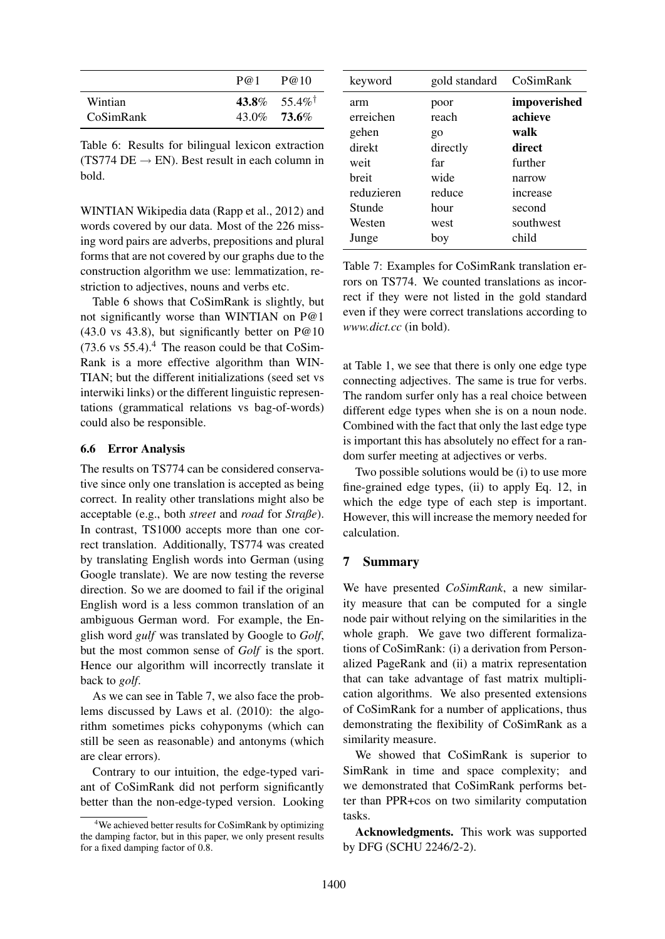|                  | P@1 | P@10            |
|------------------|-----|-----------------|
| Wintian          |     | 43.8\% 55.4\%   |
| <b>CoSimRank</b> |     | $43.0\%$ 73.6\% |

Table 6: Results for bilingual lexicon extraction (TS774 DE  $\rightarrow$  EN). Best result in each column in bold.

WINTIAN Wikipedia data (Rapp et al., 2012) and words covered by our data. Most of the 226 missing word pairs are adverbs, prepositions and plural forms that are not covered by our graphs due to the construction algorithm we use: lemmatization, restriction to adjectives, nouns and verbs etc.

Table 6 shows that CoSimRank is slightly, but not significantly worse than WINTIAN on P@1  $(43.0 \text{ vs } 43.8)$ , but significantly better on P@10  $(73.6 \text{ vs } 55.4).$ <sup>4</sup> The reason could be that CoSim-Rank is a more effective algorithm than WIN-TIAN; but the different initializations (seed set vs interwiki links) or the different linguistic representations (grammatical relations vs bag-of-words) could also be responsible.

#### 6.6 Error Analysis

The results on TS774 can be considered conservative since only one translation is accepted as being correct. In reality other translations might also be acceptable (e.g., both *street* and *road* for *Straße*). In contrast, TS1000 accepts more than one correct translation. Additionally, TS774 was created by translating English words into German (using Google translate). We are now testing the reverse direction. So we are doomed to fail if the original English word is a less common translation of an ambiguous German word. For example, the English word *gulf* was translated by Google to *Golf*, but the most common sense of *Golf* is the sport. Hence our algorithm will incorrectly translate it back to *golf*.

As we can see in Table 7, we also face the problems discussed by Laws et al. (2010): the algorithm sometimes picks cohyponyms (which can still be seen as reasonable) and antonyms (which are clear errors).

Contrary to our intuition, the edge-typed variant of CoSimRank did not perform significantly better than the non-edge-typed version. Looking

| keyword    | gold standard | CoSimRank    |
|------------|---------------|--------------|
| arm        | poor          | impoverished |
| erreichen  | reach         | achieve      |
| gehen      | go            | walk         |
| direkt     | directly      | direct       |
| weit       | far           | further      |
| hreit      | wide          | narrow       |
| reduzieren | reduce        | increase     |
| Stunde     | hour          | second       |
| Westen     | west          | southwest    |
| Junge      | boy           | child        |

Table 7: Examples for CoSimRank translation errors on TS774. We counted translations as incorrect if they were not listed in the gold standard even if they were correct translations according to *www.dict.cc* (in bold).

at Table 1, we see that there is only one edge type connecting adjectives. The same is true for verbs. The random surfer only has a real choice between different edge types when she is on a noun node. Combined with the fact that only the last edge type is important this has absolutely no effect for a random surfer meeting at adjectives or verbs.

Two possible solutions would be (i) to use more fine-grained edge types, (ii) to apply Eq. 12, in which the edge type of each step is important. However, this will increase the memory needed for calculation.

# 7 Summary

We have presented *CoSimRank*, a new similarity measure that can be computed for a single node pair without relying on the similarities in the whole graph. We gave two different formalizations of CoSimRank: (i) a derivation from Personalized PageRank and (ii) a matrix representation that can take advantage of fast matrix multiplication algorithms. We also presented extensions of CoSimRank for a number of applications, thus demonstrating the flexibility of CoSimRank as a similarity measure.

We showed that CoSimRank is superior to SimRank in time and space complexity; and we demonstrated that CoSimRank performs better than PPR+cos on two similarity computation tasks.

Acknowledgments. This work was supported by DFG (SCHU 2246/2-2).

 $4$ We achieved better results for CoSimRank by optimizing the damping factor, but in this paper, we only present results for a fixed damping factor of 0.8.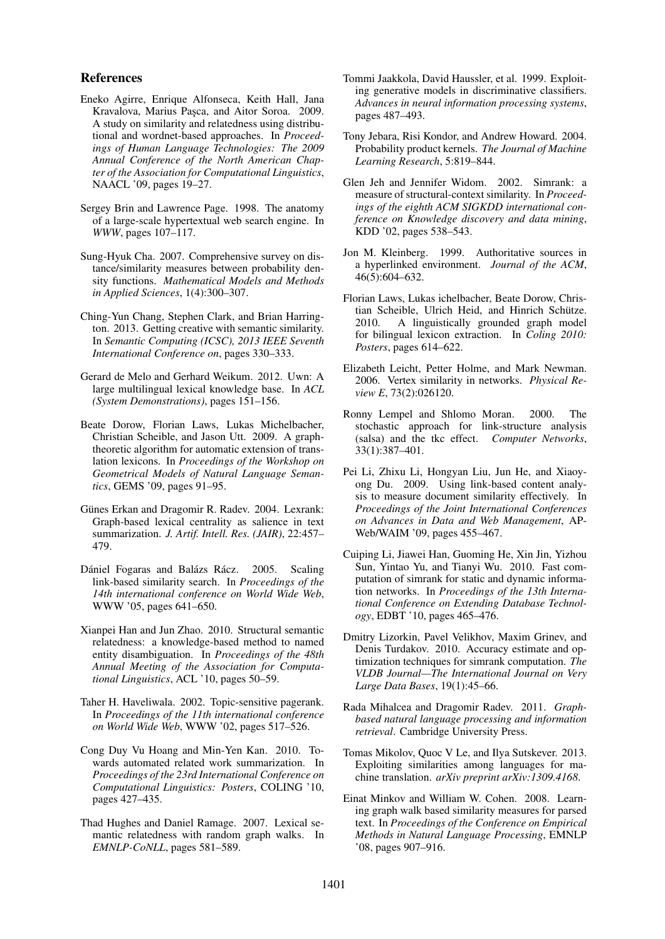## References

- Eneko Agirre, Enrique Alfonseca, Keith Hall, Jana Kravalova, Marius Paşca, and Aitor Soroa. 2009. A study on similarity and relatedness using distributional and wordnet-based approaches. In *Proceedings of Human Language Technologies: The 2009 Annual Conference of the North American Chapter of the Association for Computational Linguistics*, NAACL '09, pages 19–27.
- Sergey Brin and Lawrence Page. 1998. The anatomy of a large-scale hypertextual web search engine. In *WWW*, pages 107–117.
- Sung-Hyuk Cha. 2007. Comprehensive survey on distance/similarity measures between probability density functions. *Mathematical Models and Methods in Applied Sciences*, 1(4):300–307.
- Ching-Yun Chang, Stephen Clark, and Brian Harrington. 2013. Getting creative with semantic similarity. In *Semantic Computing (ICSC), 2013 IEEE Seventh International Conference on*, pages 330–333.
- Gerard de Melo and Gerhard Weikum. 2012. Uwn: A large multilingual lexical knowledge base. In *ACL (System Demonstrations)*, pages 151–156.
- Beate Dorow, Florian Laws, Lukas Michelbacher, Christian Scheible, and Jason Utt. 2009. A graphtheoretic algorithm for automatic extension of translation lexicons. In *Proceedings of the Workshop on Geometrical Models of Natural Language Semantics*, GEMS '09, pages 91–95.
- Günes Erkan and Dragomir R. Radev. 2004. Lexrank: Graph-based lexical centrality as salience in text summarization. *J. Artif. Intell. Res. (JAIR)*, 22:457– 479.
- Dániel Fogaras and Balázs Rácz. 2005. Scaling link-based similarity search. In *Proceedings of the 14th international conference on World Wide Web*, WWW '05, pages 641–650.
- Xianpei Han and Jun Zhao. 2010. Structural semantic relatedness: a knowledge-based method to named entity disambiguation. In *Proceedings of the 48th Annual Meeting of the Association for Computational Linguistics*, ACL '10, pages 50–59.
- Taher H. Haveliwala. 2002. Topic-sensitive pagerank. In *Proceedings of the 11th international conference on World Wide Web*, WWW '02, pages 517–526.
- Cong Duy Vu Hoang and Min-Yen Kan. 2010. Towards automated related work summarization. In *Proceedings of the 23rd International Conference on Computational Linguistics: Posters*, COLING '10, pages 427–435.
- Thad Hughes and Daniel Ramage. 2007. Lexical semantic relatedness with random graph walks. In *EMNLP-CoNLL*, pages 581–589.
- Tommi Jaakkola, David Haussler, et al. 1999. Exploiting generative models in discriminative classifiers. *Advances in neural information processing systems*, pages 487–493.
- Tony Jebara, Risi Kondor, and Andrew Howard. 2004. Probability product kernels. *The Journal of Machine Learning Research*, 5:819–844.
- Glen Jeh and Jennifer Widom. 2002. Simrank: a measure of structural-context similarity. In *Proceedings of the eighth ACM SIGKDD international conference on Knowledge discovery and data mining*, KDD '02, pages 538–543.
- Jon M. Kleinberg. 1999. Authoritative sources in a hyperlinked environment. *Journal of the ACM*, 46(5):604–632.
- Florian Laws, Lukas ichelbacher, Beate Dorow, Christian Scheible, Ulrich Heid, and Hinrich Schütze. 2010. A linguistically grounded graph model for bilingual lexicon extraction. In *Coling 2010: Posters*, pages 614–622.
- Elizabeth Leicht, Petter Holme, and Mark Newman. 2006. Vertex similarity in networks. *Physical Review E*, 73(2):026120.
- Ronny Lempel and Shlomo Moran. 2000. The stochastic approach for link-structure analysis (salsa) and the tkc effect. *Computer Networks*, 33(1):387–401.
- Pei Li, Zhixu Li, Hongyan Liu, Jun He, and Xiaoyong Du. 2009. Using link-based content analysis to measure document similarity effectively. In *Proceedings of the Joint International Conferences on Advances in Data and Web Management*, AP-Web/WAIM '09, pages 455–467.
- Cuiping Li, Jiawei Han, Guoming He, Xin Jin, Yizhou Sun, Yintao Yu, and Tianyi Wu. 2010. Fast computation of simrank for static and dynamic information networks. In *Proceedings of the 13th International Conference on Extending Database Technology*, EDBT '10, pages 465–476.
- Dmitry Lizorkin, Pavel Velikhov, Maxim Grinev, and Denis Turdakov. 2010. Accuracy estimate and optimization techniques for simrank computation. *The VLDB Journal—The International Journal on Very Large Data Bases*, 19(1):45–66.
- Rada Mihalcea and Dragomir Radev. 2011. *Graphbased natural language processing and information retrieval*. Cambridge University Press.
- Tomas Mikolov, Quoc V Le, and Ilya Sutskever. 2013. Exploiting similarities among languages for machine translation. *arXiv preprint arXiv:1309.4168*.
- Einat Minkov and William W. Cohen. 2008. Learning graph walk based similarity measures for parsed text. In *Proceedings of the Conference on Empirical Methods in Natural Language Processing*, EMNLP '08, pages 907–916.